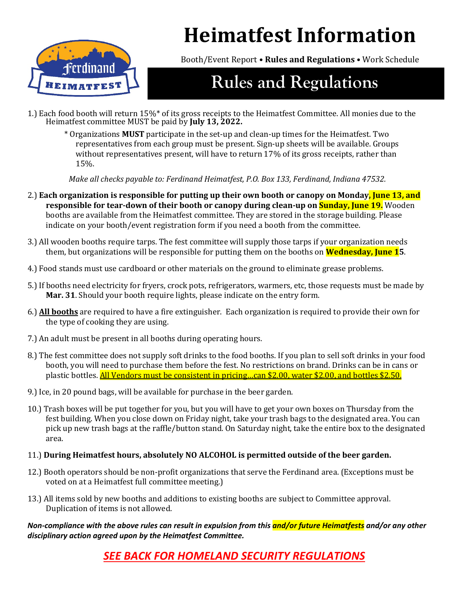

**Heimatfest Information**

Booth/Event Report • **Rules and Regulations** • Work Schedule

# **Rules and Regulations**

- 1.) Each food booth will return 15%\* of its gross receipts to the Heimatfest Committee. All monies due to the Heimatfest committee MUST be paid by **July 13, 2022.**
	- \* Organizations **MUST** participate in the set-up and clean-up times for the Heimatfest. Two representatives from each group must be present. Sign-up sheets will be available. Groups without representatives present, will have to return 17% of its gross receipts, rather than 15%.

*Make all checks payable to: Ferdinand Heimatfest, P.O. Box 133, Ferdinand, Indiana 47532.*

- 2.) **Each organization is responsible for putting up their own booth or canopy on Monday, June 13, and responsible for tear-down of their booth or canopy during clean-up on Sunday, June 19.** Wooden booths are available from the Heimatfest committee. They are stored in the storage building. Please indicate on your booth/event registration form if you need a booth from the committee.
- 3.) All wooden booths require tarps. The fest committee will supply those tarps if your organization needs them, but organizations will be responsible for putting them on the booths on **Wednesday, June 15**.
- 4.) Food stands must use cardboard or other materials on the ground to eliminate grease problems.
- 5.) If booths need electricity for fryers, crock pots, refrigerators, warmers, etc, those requests must be made by **Mar. 31**. Should your booth require lights, please indicate on the entry form.
- 6.) **All booths** are required to have a fire extinguisher. Each organization is required to provide their own for the type of cooking they are using.
- 7.) An adult must be present in all booths during operating hours.
- 8.) The fest committee does not supply soft drinks to the food booths. If you plan to sell soft drinks in your food booth, you will need to purchase them before the fest. No restrictions on brand. Drinks can be in cans or plastic bottles. **All Vendors must be consistent in pricing...can \$2.00, water \$2.00, and bottles \$2.50.**
- 9.) Ice, in 20 pound bags, will be available for purchase in the beer garden.
- 10.) Trash boxes will be put together for you, but you will have to get your own boxes on Thursday from the fest building. When you close down on Friday night, take your trash bags to the designated area. You can pick up new trash bags at the raffle/button stand. On Saturday night, take the entire box to the designated area.

### 11.) **During Heimatfest hours, absolutely NO ALCOHOL is permitted outside of the beer garden.**

- 12.) Booth operators should be non-profit organizations that serve the Ferdinand area. (Exceptions must be voted on at a Heimatfest full committee meeting.)
- 13.) All items sold by new booths and additions to existing booths are subject to Committee approval. Duplication of items is not allowed.

*Non-compliance with the above rules can result in expulsion from this and/or future Heimatfests and/or any other disciplinary action agreed upon by the Heimatfest Committee.* 

### *SEE BACK FOR HOMELAND SECURITY REGULATIONS*